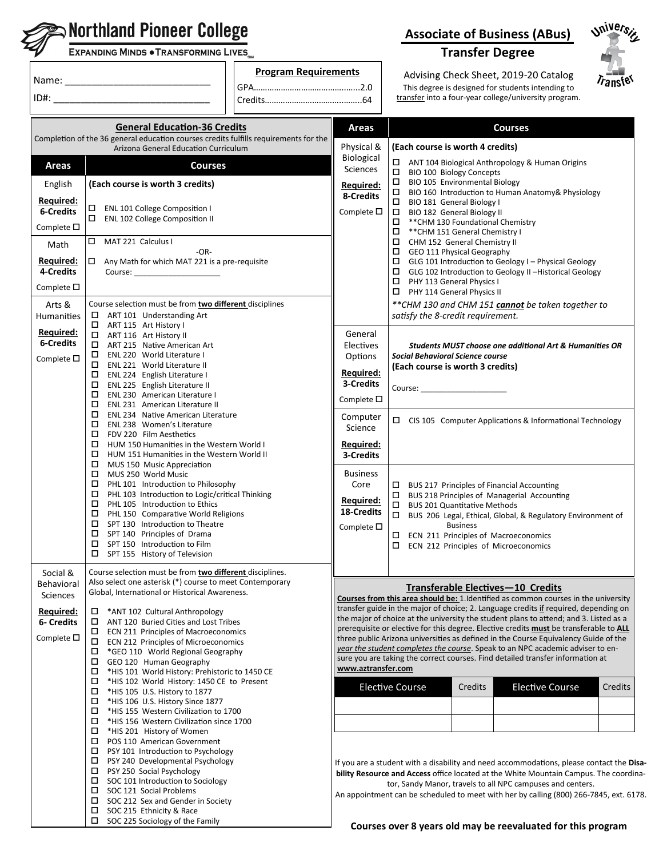|                                                      | <b>EXPANDING MINDS . TRANSFORMING LIVES</b>                                                                                                                                                                                                                                                                                                      |                             |                                                                                                                                                                                                                                                                                                                                                                                                                                                                                                                                                          | <b>Transfer Degree</b>                                                                                                                                                                                                                                                                                                                    |  |
|------------------------------------------------------|--------------------------------------------------------------------------------------------------------------------------------------------------------------------------------------------------------------------------------------------------------------------------------------------------------------------------------------------------|-----------------------------|----------------------------------------------------------------------------------------------------------------------------------------------------------------------------------------------------------------------------------------------------------------------------------------------------------------------------------------------------------------------------------------------------------------------------------------------------------------------------------------------------------------------------------------------------------|-------------------------------------------------------------------------------------------------------------------------------------------------------------------------------------------------------------------------------------------------------------------------------------------------------------------------------------------|--|
|                                                      |                                                                                                                                                                                                                                                                                                                                                  | <b>Program Requirements</b> |                                                                                                                                                                                                                                                                                                                                                                                                                                                                                                                                                          | Advising Check Sheet, 2019-20 Catalog<br>$\overline{r_{\mathsf{anst}}^{\mathsf{c}}e^{\mathsf{c}}}$<br>This degree is designed for students intending to<br>transfer into a four-year college/university program.                                                                                                                          |  |
|                                                      |                                                                                                                                                                                                                                                                                                                                                  |                             |                                                                                                                                                                                                                                                                                                                                                                                                                                                                                                                                                          |                                                                                                                                                                                                                                                                                                                                           |  |
|                                                      | <b>General Education-36 Credits</b><br>Completion of the 36 general education courses credits fulfills requirements for the<br>Arizona General Education Curriculum                                                                                                                                                                              |                             | Areas<br>Physical &                                                                                                                                                                                                                                                                                                                                                                                                                                                                                                                                      | <b>Courses</b><br>(Each course is worth 4 credits)                                                                                                                                                                                                                                                                                        |  |
| Areas                                                | <b>Courses</b>                                                                                                                                                                                                                                                                                                                                   |                             | Biological<br><b>Sciences</b>                                                                                                                                                                                                                                                                                                                                                                                                                                                                                                                            | □ ANT 104 Biological Anthropology & Human Origins                                                                                                                                                                                                                                                                                         |  |
| English<br>Required:                                 | (Each course is worth 3 credits)                                                                                                                                                                                                                                                                                                                 |                             | Required:<br>8-Credits<br>Complete $\square$                                                                                                                                                                                                                                                                                                                                                                                                                                                                                                             | □ BIO 100 Biology Concepts<br>$\Box$ BIO 105 Environmental Biology<br>$\Box$ BIO 160 Introduction to Human Anatomy & Physiology<br>□ BIO 181 General Biology I                                                                                                                                                                            |  |
| <b>6-Credits</b><br>Complete $\square$               | $\Box$<br>ENL 101 College Composition I<br>$\Box$<br>ENL 102 College Composition II                                                                                                                                                                                                                                                              |                             |                                                                                                                                                                                                                                                                                                                                                                                                                                                                                                                                                          | $\Box$ BIO 182 General Biology II<br>$\Box$ ** CHM 130 Foundational Chemistry<br>$\Box$ ** CHM 151 General Chemistry I                                                                                                                                                                                                                    |  |
| Math<br>Required:<br>4-Credits<br>Complete $\square$ | MAT 221 Calculus I<br>$-OR-$<br>$\Box$ Any Math for which MAT 221 is a pre-requisite<br>Course: ________________________                                                                                                                                                                                                                         |                             |                                                                                                                                                                                                                                                                                                                                                                                                                                                                                                                                                          | $\Box$ CHM 152 General Chemistry II<br>$\Box$ GEO 111 Physical Geography<br>$\Box$ GLG 101 Introduction to Geology I - Physical Geology<br>□ GLG 102 Introduction to Geology II -Historical Geology<br>$\Box$ PHY 113 General Physics I                                                                                                   |  |
| Arts &<br>Humanities                                 | Course selection must be from two different disciplines<br>$\Box$ ART 101 Understanding Art                                                                                                                                                                                                                                                      |                             |                                                                                                                                                                                                                                                                                                                                                                                                                                                                                                                                                          | PHY 114 General Physics II<br>** CHM 130 and CHM 151 cannot be taken together to<br>satisfy the 8-credit requirement.                                                                                                                                                                                                                     |  |
| Required:<br>6-Credits<br>Complete $\square$         | $\Box$ ART 115 Art History I<br>ART 116 Art History II<br>$\Box$ ART 215 Native American Art<br>$\Box$ ENL 220 World Literature I                                                                                                                                                                                                                |                             | General<br>Electives<br>Options                                                                                                                                                                                                                                                                                                                                                                                                                                                                                                                          | <b>Students MUST choose one additional Art &amp; Humanities OR</b><br><b>Social Behavioral Science course</b>                                                                                                                                                                                                                             |  |
|                                                      | □ ENL 221 World Literature II<br>ENL 224 English Literature I<br>ENL 225 English Literature II<br>$\Box$ ENL 230 American Literature I                                                                                                                                                                                                           |                             | (Each course is worth 3 credits)<br>Required:<br>3-Credits<br>Course: _____________________<br>Complete $\square$                                                                                                                                                                                                                                                                                                                                                                                                                                        |                                                                                                                                                                                                                                                                                                                                           |  |
|                                                      | $\Box$<br>ENL 231 American Literature II<br>0<br>ENL 234 Native American Literature<br>0<br>ENL 238 Women's Literature<br>$\Box$<br>FDV 220 Film Aesthetics                                                                                                                                                                                      |                             | Computer<br>Science                                                                                                                                                                                                                                                                                                                                                                                                                                                                                                                                      | $\Box$ CIS 105 Computer Applications & Informational Technology                                                                                                                                                                                                                                                                           |  |
|                                                      | □<br>HUM 150 Humanities in the Western World I<br>□<br>HUM 151 Humanities in the Western World II<br>0<br>MUS 150 Music Appreciation<br>0<br>MUS 250 World Music                                                                                                                                                                                 |                             | Required:<br>3-Credits<br><b>Business</b>                                                                                                                                                                                                                                                                                                                                                                                                                                                                                                                |                                                                                                                                                                                                                                                                                                                                           |  |
|                                                      | □<br>PHL 101 Introduction to Philosophy<br>$\Box$ PHL 103 Introduction to Logic/critical Thinking<br>PHL 105 Introduction to Ethics<br>PHL 150 Comparative World Religions<br>$\Box$ SPT 130 Introduction to Theatre<br>$\Box$ SPT 140 Principles of Drama<br>$\square$ SPT 150 Introduction to Film<br>$\square$ SPT 155 History of Television  |                             | Core<br>Required:<br>18-Credits<br>Complete $\square$                                                                                                                                                                                                                                                                                                                                                                                                                                                                                                    | $\Box$ BUS 217 Principles of Financial Accounting<br>$\Box$ BUS 218 Principles of Managerial Accounting<br>□<br><b>BUS 201 Quantitative Methods</b><br>$\Box$<br>BUS 206 Legal, Ethical, Global, & Regulatory Environment of<br><b>Business</b><br>ECN 211 Principles of Macroeconomics<br>$\square$ ECN 212 Principles of Microeconomics |  |
| Social &<br>Behavioral<br>Sciences                   | Course selection must be from two different disciplines.<br>Also select one asterisk (*) course to meet Contemporary<br>Global, International or Historical Awareness.                                                                                                                                                                           |                             |                                                                                                                                                                                                                                                                                                                                                                                                                                                                                                                                                          | Transferable Electives-10 Credits<br>Courses from this area should be: 1. Identified as common courses in the university                                                                                                                                                                                                                  |  |
| Required:<br><b>6- Credits</b><br>Complete $\square$ | *ANT 102 Cultural Anthropology<br>$\Box$<br>ANT 120 Buried Cities and Lost Tribes<br>$\Box$<br>$\square$ ECN 211 Principles of Macroeconomics<br>$\Box$ ECN 212 Principles of Microeconomics<br>$\Box$ *GEO 110 World Regional Geography<br>$\Box$ GEO 120 Human Geography<br>T *HIS 101 World History: Prehistoric to 1450 CE                   |                             | transfer guide in the major of choice; 2. Language credits if required, depending on<br>the major of choice at the university the student plans to attend; and 3. Listed as a<br>prerequisite or elective for this degree. Elective credits must be transferable to ALL<br>three public Arizona universities as defined in the Course Equivalency Guide of the<br>year the student completes the course. Speak to an NPC academic adviser to en-<br>sure you are taking the correct courses. Find detailed transfer information at<br>www.aztransfer.com |                                                                                                                                                                                                                                                                                                                                           |  |
|                                                      | 0<br>*HIS 102 World History: 1450 CE to Present<br>□<br>*HIS 105 U.S. History to 1877<br>□<br>*HIS 106 U.S. History Since 1877<br>□<br>*HIS 155 Western Civilization to 1700<br>□<br>*HIS 156 Western Civilization since 1700                                                                                                                    |                             |                                                                                                                                                                                                                                                                                                                                                                                                                                                                                                                                                          | <b>Elective Course</b><br><b>Credits</b><br><b>Elective Course</b><br>Credits                                                                                                                                                                                                                                                             |  |
|                                                      | □<br>*HIS 201 History of Women<br>0<br>POS 110 American Government<br>0<br>PSY 101 Introduction to Psychology<br>□<br>PSY 240 Developmental Psychology<br>$\Box$ PSY 250 Social Psychology<br>$\Box$ SOC 101 Introduction to Sociology<br>$\Box$ SOC 121 Social Problems<br>$\Box$ SOC 212 Sex and Gender in Society<br>SOC 215 Ethnicity & Race |                             |                                                                                                                                                                                                                                                                                                                                                                                                                                                                                                                                                          | If you are a student with a disability and need accommodations, please contact the Disa-<br>bility Resource and Access office located at the White Mountain Campus. The coordina-<br>tor, Sandy Manor, travels to all NPC campuses and centers.<br>An appointment can be scheduled to meet with her by calling (800) 266-7845, ext. 6178. |  |